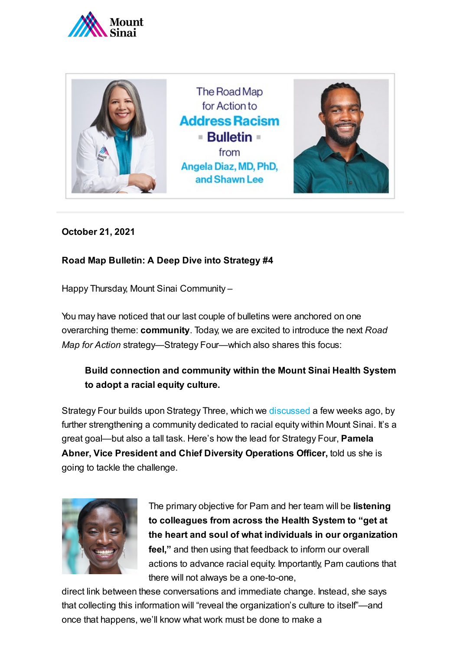



**October 21, 2021**

### **Road Map Bulletin: A Deep Dive into Strategy #4**

Happy Thursday, Mount Sinai Community –

You may have noticed that our last couple of bulletins were anchored on one overarching theme: **community**. Today, we are excited to introduce the next *Road Map for Action* strategy—Strategy Four—which also shares this focus:

### **Build connection and community within the Mount Sinai Health System to adopt a racial equity culture.**

Strategy Four builds upon Strategy Three, which we [discussed](https://www.mountsinai.org/files/MSHealth/Assets/HS/About/Road-Map-for-Action-Bulletin-6-Flyers-and-Strategy-Three.pdf) a few weeks ago, by further strengthening a community dedicated to racial equity within Mount Sinai. It's a great goal—but also a tall task. Here's how the lead for Strategy Four, **Pamela Abner, Vice President and Chief Diversity Operations Officer,** told us she is going to tackle the challenge.



The primary objective for Pam and her team will be **listening to colleagues from across the Health System to "get at the heart and soul of what individuals in our organization feel,"** and then using that feedback to inform our overall actions to advance racial equity. Importantly, Pam cautions that there will not always be a one-to-one,

direct link between these conversations and immediate change. Instead, she says that collecting this information will "reveal the organization's culture to itself"—and once that happens, we'll know what work must be done to make a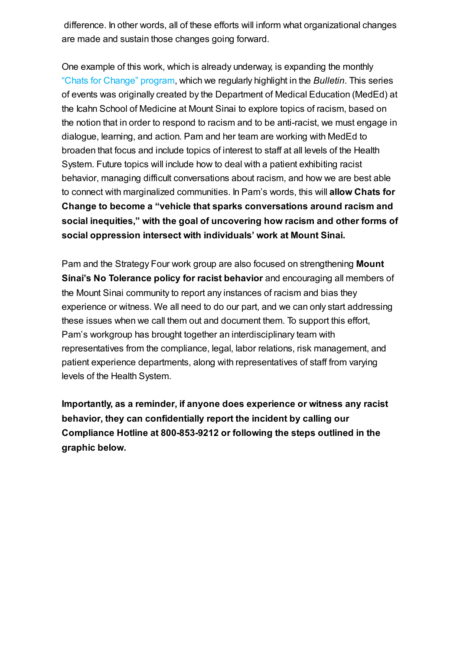difference. In other words, all of these efforts will inform what organizational changes are made and sustain those changes going forward.

One example of this work, which is already underway, is expanding the monthly ["Chats for](http://changenow.icahn.mssm.edu/chatsforchange/) Change" program, which we regularly highlight in the *Bulletin*. This series of events was originally created by the Department of Medical Education (MedEd) at the Icahn School of Medicine at Mount Sinai to explore topics of racism, based on the notion that in order to respond to racism and to be anti-racist, we must engage in dialogue, learning, and action. Pam and her team are working with MedEd to broaden that focus and include topics of interest to staff at all levels of the Health System. Future topics will include how to deal with a patient exhibiting racist behavior, managing difficult conversations about racism, and how we are best able to connect with marginalized communities. In Pam's words, this will **allow Chats for Change to become a "vehicle that sparks conversations around racism and social inequities," with the goal of uncovering how racism and other forms of social oppression intersect with individuals' work at Mount Sinai.**

Pam and the Strategy Four work group are also focused on strengthening **Mount Sinai's No Tolerance policy for racist behavior** and encouraging all members of the Mount Sinai community to report any instances of racism and bias they experience or witness. We all need to do our part, and we can only start addressing these issues when we call them out and document them. To support this effort, Pam's workgroup has brought together an interdisciplinary team with representatives from the compliance, legal, labor relations, risk management, and patient experience departments, along with representatives of staff from varying levels of the Health System.

**Importantly, as a reminder, if anyone does experience or witness any racist behavior, they can confidentially report the incident by calling our Compliance Hotline at 800-853-9212 or following the steps outlined in the graphic below.**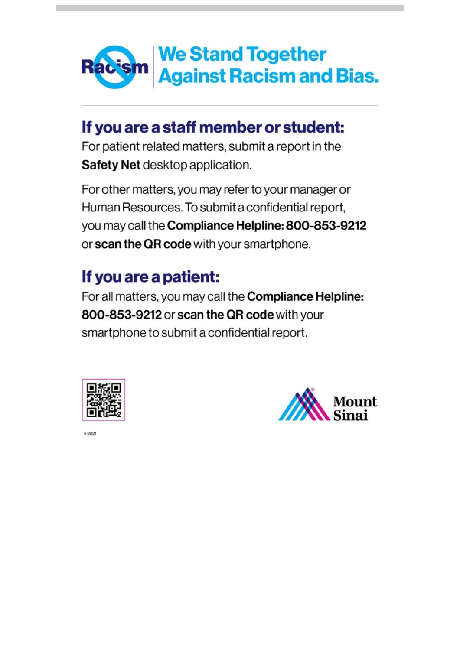

## If you are a staff member or student:

For patient related matters, submit a report in the Safety Net desktop application.

For other matters, you may refer to your manager or Human Resources. To submit a confidential report, you may call the Compliance Helpline: 800-853-9212 or scan the QR code with your smartphone.

# If you are a patient:

For all matters, you may call the **Compliance Helpline:** 800-853-9212 or scan the QR code with your smartphone to submit a confidential report.





4-2021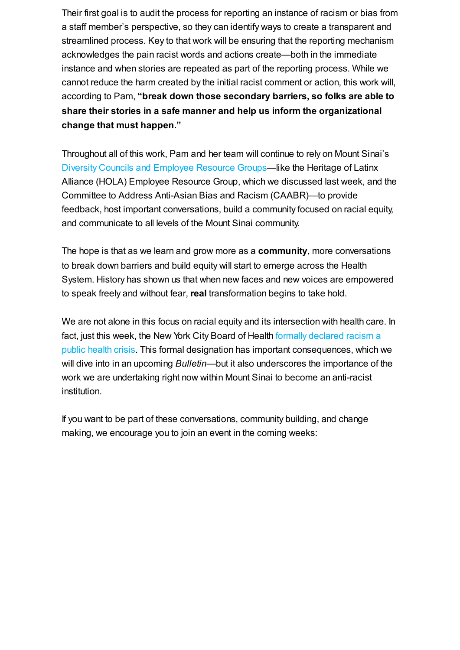Their first goal is to audit the process for reporting an instance of racism or bias from a staff member's perspective, so they can identify ways to create a transparent and streamlined process. Key to that work will be ensuring that the reporting mechanism acknowledges the pain racist words and actions create—both in the immediate instance and when stories are repeated as part of the reporting process. While we cannot reduce the harm created by the initial racist comment or action, this work will, according to Pam, **"break down those secondary barriers, so folks are able to share their stories in a safe manner and help us inform the organizational change that must happen."**

Throughout all of this work, Pam and her team will continue to rely on Mount Sinai's Diversity [Councils and](https://www.mountsinai.org/about/diversity/councils) Employee Resource Groups—like the Heritage of Latinx Alliance (HOLA) Employee Resource Group, which we discussed last week, and the Committee to Address Anti-Asian Bias and Racism (CAABR)—to provide feedback, host important conversations, build a community focused on racial equity, and communicate to all levels of the Mount Sinai community.

The hope is that as we learn and grow more as a **community**, more conversations to break down barriers and build equity will start to emerge across the Health System. History has shown us that when new faces and new voices are empowered to speak freely and without fear, **real** transformation begins to take hold.

We are not alone in this focus on racial equity and its intersection with health care. In fact, just this week, the New York City Board of Health formally declared racism a public health crisis. This formal designation has important [consequences,](https://gothamist.com/news/nyc-board-health-declares-racism-public-health-crisis) which we will dive into in an upcoming *Bulletin*—but it also underscores the importance of the work we are undertaking right now within Mount Sinai to become an anti-racist institution.

If you want to be part of these conversations, community building, and change making, we encourage you to join an event in the coming weeks: